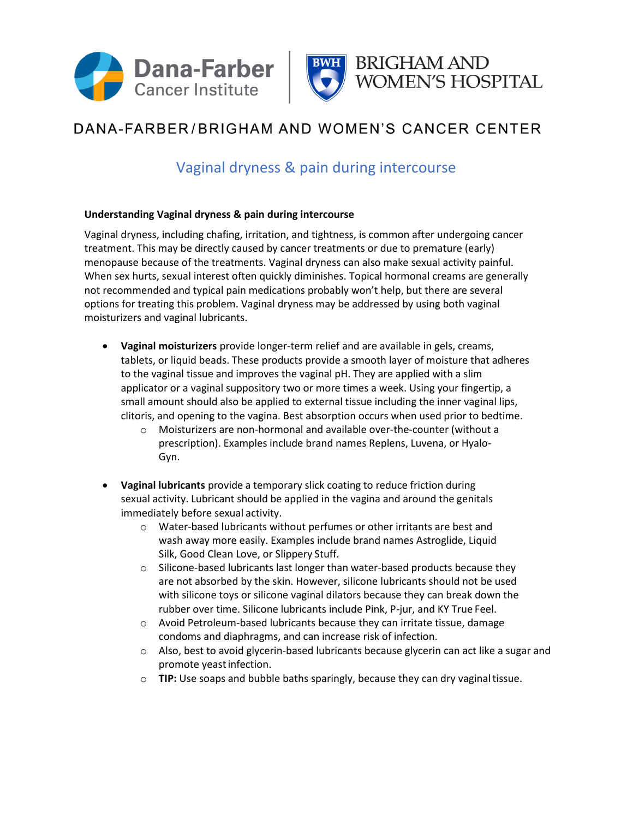



## DANA-FARBER/BRIGHAM AND WOMEN'S CANCER CENTER

## Vaginal dryness & pain during intercourse

## **Understanding Vaginal dryness & pain during intercourse**

Vaginal dryness, including chafing, irritation, and tightness, is common after undergoing cancer treatment. This may be directly caused by cancer treatments or due to premature (early) menopause because of the treatments. Vaginal dryness can also make sexual activity painful. When sex hurts, sexual interest often quickly diminishes. Topical hormonal creams are generally not recommended and typical pain medications probably won't help, but there are several options for treating this problem. Vaginal dryness may be addressed by using both vaginal moisturizers and vaginal lubricants.

- **Vaginal moisturizers** provide longer-term relief and are available in gels, creams, tablets, or liquid beads. These products provide a smooth layer of moisture that adheres to the vaginal tissue and improves the vaginal pH. They are applied with a slim applicator or a vaginal suppository two or more times a week. Using your fingertip, a small amount should also be applied to external tissue including the inner vaginal lips, clitoris, and opening to the vagina. Best absorption occurs when used prior to bedtime.
	- o Moisturizers are non-hormonal and available over-the-counter (without a prescription). Examples include brand names Replens, Luvena, or Hyalo-Gyn.
- **Vaginal lubricants** provide a temporary slick coating to reduce friction during sexual activity. Lubricant should be applied in the vagina and around the genitals immediately before sexual activity.
	- o Water-based lubricants without perfumes or other irritants are best and wash away more easily. Examples include brand names Astroglide, Liquid Silk, Good Clean Love, or Slippery Stuff.
	- o Silicone-based lubricants last longer than water-based products because they are not absorbed by the skin. However, silicone lubricants should not be used with silicone toys or silicone vaginal dilators because they can break down the rubber over time. Silicone lubricants include Pink, P-jur, and KY True Feel.
	- o Avoid Petroleum-based lubricants because they can irritate tissue, damage condoms and diaphragms, and can increase risk of infection.
	- $\circ$  Also, best to avoid glycerin-based lubricants because glycerin can act like a sugar and promote yeastinfection.
	- o **TIP:** Use soaps and bubble baths sparingly, because they can dry vaginaltissue.